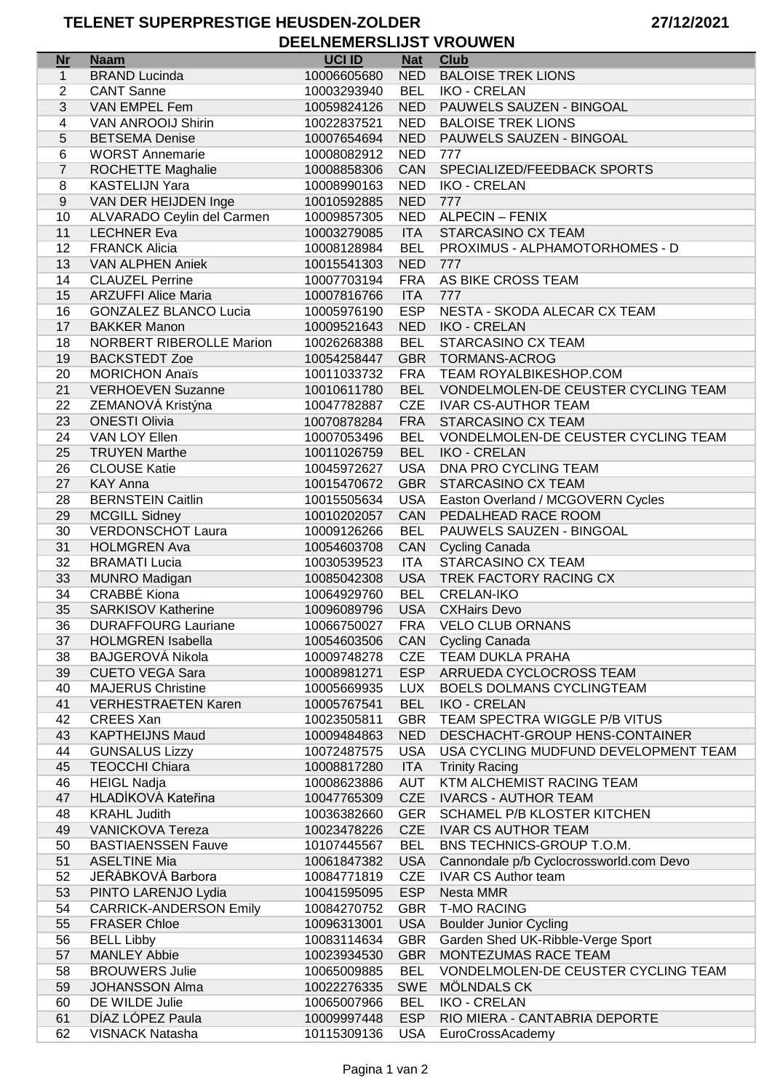TELENET SUPERPRESTIGE HEUSDEN-ZOLDER DEELNEMERSLIJST VROUWEN

| <b>Nr</b>        | <b>Naam</b>                   | <b>UCI ID</b> | <b>Nat</b> | <b>Club</b>                             |
|------------------|-------------------------------|---------------|------------|-----------------------------------------|
| $\mathbf{1}$     | <b>BRAND Lucinda</b>          | 10006605680   | <b>NED</b> | <b>BALOISE TREK LIONS</b>               |
|                  |                               |               |            |                                         |
| $\overline{2}$   | <b>CANT Sanne</b>             | 10003293940   | <b>BEL</b> | <b>IKO - CRELAN</b>                     |
| 3                | VAN EMPEL Fem                 | 10059824126   | <b>NED</b> | PAUWELS SAUZEN - BINGOAL                |
| 4                | VAN ANROOIJ Shirin            | 10022837521   | <b>NED</b> | <b>BALOISE TREK LIONS</b>               |
| 5                | <b>BETSEMA Denise</b>         | 10007654694   | <b>NED</b> | PAUWELS SAUZEN - BINGOAL                |
| 6                | <b>WORST Annemarie</b>        | 10008082912   | <b>NED</b> | 777                                     |
| $\overline{7}$   | ROCHETTE Maghalie             | 10008858306   | CAN        | SPECIALIZED/FEEDBACK SPORTS             |
| 8                | <b>KASTELIJN Yara</b>         | 10008990163   | <b>NED</b> | <b>IKO - CRELAN</b>                     |
| $\boldsymbol{9}$ | VAN DER HEIJDEN Inge          | 10010592885   | <b>NED</b> | 777                                     |
| 10               | ALVARADO Ceylin del Carmen    | 10009857305   |            | NED ALPECIN - FENIX                     |
| 11               | <b>LECHNER Eva</b>            | 10003279085   | <b>ITA</b> | <b>STARCASINO CX TEAM</b>               |
| 12               | <b>FRANCK Alicia</b>          | 10008128984   | BEL        | PROXIMUS - ALPHAMOTORHOMES - D          |
| 13               | <b>VAN ALPHEN Aniek</b>       | 10015541303   | <b>NED</b> | 777                                     |
| 14               | <b>CLAUZEL Perrine</b>        | 10007703194   |            | FRA AS BIKE CROSS TEAM                  |
| 15               | <b>ARZUFFI Alice Maria</b>    |               | <b>ITA</b> |                                         |
|                  |                               | 10007816766   |            | 777                                     |
| 16               | <b>GONZALEZ BLANCO Lucia</b>  | 10005976190   | <b>ESP</b> | NESTA - SKODA ALECAR CX TEAM            |
| 17               | <b>BAKKER Manon</b>           | 10009521643   | <b>NED</b> | <b>IKO - CRELAN</b>                     |
| 18               | NORBERT RIBEROLLE Marion      | 10026268388   | <b>BEL</b> | STARCASINO CX TEAM                      |
| 19               | <b>BACKSTEDT Zoe</b>          | 10054258447   | <b>GBR</b> | TORMANS-ACROG                           |
| 20               | <b>MORICHON Anaïs</b>         | 10011033732   | <b>FRA</b> | <b>TEAM ROYALBIKESHOP.COM</b>           |
| 21               | <b>VERHOEVEN Suzanne</b>      | 10010611780   | <b>BEL</b> | VONDELMOLEN-DE CEUSTER CYCLING TEAM     |
| 22               | ZEMANOVÁ Kristýna             | 10047782887   | <b>CZE</b> | <b>IVAR CS-AUTHOR TEAM</b>              |
| 23               | <b>ONESTI Olivia</b>          | 10070878284   | <b>FRA</b> | STARCASINO CX TEAM                      |
| 24               | VAN LOY Ellen                 | 10007053496   | <b>BEL</b> | VONDELMOLEN-DE CEUSTER CYCLING TEAM     |
| 25               | <b>TRUYEN Marthe</b>          | 10011026759   | <b>BEL</b> | <b>IKO - CRELAN</b>                     |
| 26               | <b>CLOUSE Katie</b>           | 10045972627   | <b>USA</b> | DNA PRO CYCLING TEAM                    |
| 27               | <b>KAY Anna</b>               | 10015470672   | <b>GBR</b> | STARCASINO CX TEAM                      |
| 28               | <b>BERNSTEIN Caitlin</b>      |               | <b>USA</b> | Easton Overland / MCGOVERN Cycles       |
|                  |                               | 10015505634   |            |                                         |
| 29               | <b>MCGILL Sidney</b>          | 10010202057   | <b>CAN</b> | PEDALHEAD RACE ROOM                     |
| 30               | <b>VERDONSCHOT Laura</b>      | 10009126266   | <b>BEL</b> | PAUWELS SAUZEN - BINGOAL                |
| 31               | <b>HOLMGREN Ava</b>           | 10054603708   | <b>CAN</b> | Cycling Canada                          |
| 32               | <b>BRAMATI Lucia</b>          | 10030539523   | <b>ITA</b> | STARCASINO CX TEAM                      |
| 33               | <b>MUNRO Madigan</b>          | 10085042308   | <b>USA</b> | TREK FACTORY RACING CX                  |
| 34               | <b>CRABBÉ Kiona</b>           | 10064929760   | BEL        | <b>CRELAN-IKO</b>                       |
| 35               | <b>SARKISOV Katherine</b>     | 10096089796   | <b>USA</b> | <b>CXHairs Devo</b>                     |
| 36               | <b>DURAFFOURG Lauriane</b>    | 10066750027   |            | FRA VELO CLUB ORNANS                    |
| 37               | <b>HOLMGREN Isabella</b>      | 10054603506   |            | CAN Cycling Canada                      |
| 38               | BAJGEROVÁ Nikola              | 10009748278   | CZE        | TEAM DUKLA PRAHA                        |
| 39               | <b>CUETO VEGA Sara</b>        | 10008981271   | <b>ESP</b> | ARRUEDA CYCLOCROSS TEAM                 |
| 40               | <b>MAJERUS Christine</b>      | 10005669935   | LUX        | BOELS DOLMANS CYCLINGTEAM               |
| 41               | <b>VERHESTRAETEN Karen</b>    | 10005767541   | <b>BEL</b> | <b>IKO - CRELAN</b>                     |
| 42               | <b>CREES Xan</b>              | 10023505811   | <b>GBR</b> | TEAM SPECTRA WIGGLE P/B VITUS           |
| 43               | <b>KAPTHEIJNS Maud</b>        | 10009484863   | <b>NED</b> | DESCHACHT-GROUP HENS-CONTAINER          |
| 44               |                               | 10072487575   | USA        | USA CYCLING MUDFUND DEVELOPMENT TEAM    |
|                  | <b>GUNSALUS Lizzy</b>         |               |            |                                         |
| 45               | <b>TEOCCHI Chiara</b>         | 10008817280   | <b>ITA</b> | <b>Trinity Racing</b>                   |
| 46               | <b>HEIGL Nadja</b>            | 10008623886   | AUT        | KTM ALCHEMIST RACING TEAM               |
| 47               | HLADÍKOVÁ Kateřina            | 10047765309   | <b>CZE</b> | <b>IVARCS - AUTHOR TEAM</b>             |
| 48               | <b>KRAHL Judith</b>           | 10036382660   | GER        | SCHAMEL P/B KLOSTER KITCHEN             |
| 49               | <b>VANICKOVA Tereza</b>       | 10023478226   | <b>CZE</b> | <b>IVAR CS AUTHOR TEAM</b>              |
| 50               | <b>BASTIAENSSEN Fauve</b>     | 10107445567   | <b>BEL</b> | BNS TECHNICS-GROUP T.O.M.               |
| 51               | <b>ASELTINE Mia</b>           | 10061847382   | <b>USA</b> | Cannondale p/b Cyclocrossworld.com Devo |
| 52               | JEŘÁBKOVÁ Barbora             | 10084771819   | <b>CZE</b> | <b>IVAR CS Author team</b>              |
| 53               | PINTO LARENJO Lydia           | 10041595095   | <b>ESP</b> | Nesta MMR                               |
| 54               | <b>CARRICK-ANDERSON Emily</b> | 10084270752   | <b>GBR</b> | <b>T-MO RACING</b>                      |
| 55               | <b>FRASER Chloe</b>           | 10096313001   | <b>USA</b> | <b>Boulder Junior Cycling</b>           |
| 56               | <b>BELL Libby</b>             | 10083114634   | <b>GBR</b> | Garden Shed UK-Ribble-Verge Sport       |
| 57               | <b>MANLEY Abbie</b>           | 10023934530   | <b>GBR</b> | MONTEZUMAS RACE TEAM                    |
|                  |                               | 10065009885   | <b>BEL</b> | VONDELMOLEN-DE CEUSTER CYCLING TEAM     |
| 58               | <b>BROUWERS Julie</b>         |               |            |                                         |
| 59               | <b>JOHANSSON Alma</b>         | 10022276335   | SWE        | MÖLNDALS CK                             |
| 60               | DE WILDE Julie                | 10065007966   | BEL        | <b>IKO - CRELAN</b>                     |
| 61               | DÍAZ LÓPEZ Paula              | 10009997448   | <b>ESP</b> | RIO MIERA - CANTABRIA DEPORTE           |
| 62               | <b>VISNACK Natasha</b>        | 10115309136   | USA        | EuroCrossAcademy                        |